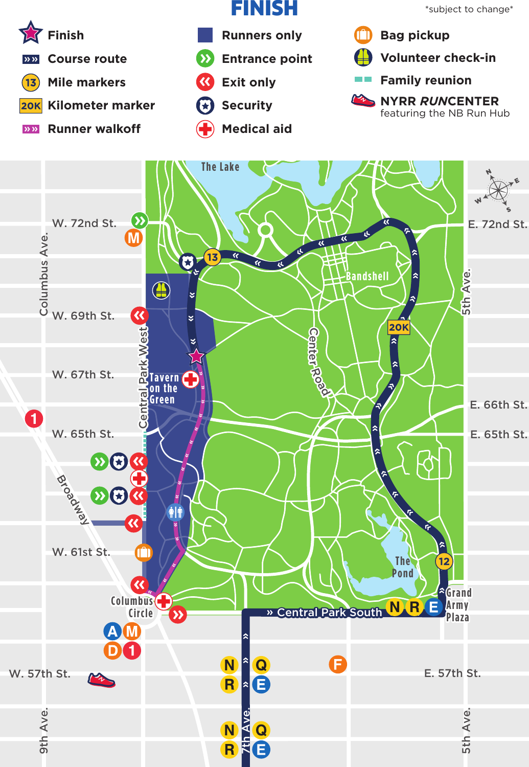